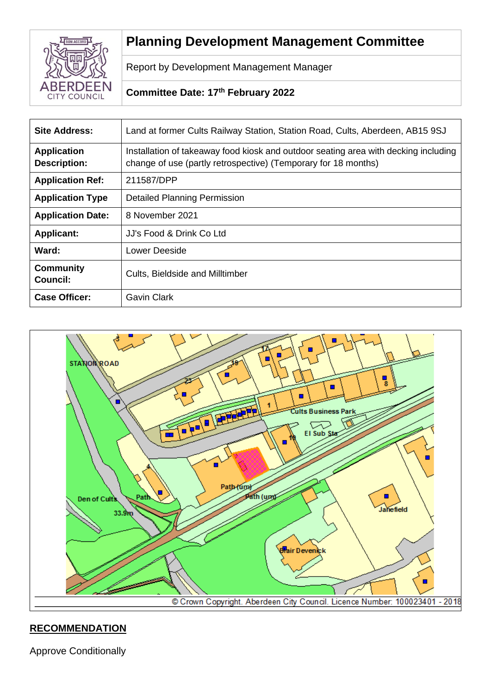

# **Planning Development Management Committee**

Report by Development Management Manager

# **Committee Date: 17th February 2022**

| <b>Site Address:</b>                      | Land at former Cults Railway Station, Station Road, Cults, Aberdeen, AB15 9SJ                                                                         |
|-------------------------------------------|-------------------------------------------------------------------------------------------------------------------------------------------------------|
| <b>Application</b><br><b>Description:</b> | Installation of takeaway food kiosk and outdoor seating area with decking including<br>change of use (partly retrospective) (Temporary for 18 months) |
| <b>Application Ref:</b>                   | 211587/DPP                                                                                                                                            |
| <b>Application Type</b>                   | <b>Detailed Planning Permission</b>                                                                                                                   |
| <b>Application Date:</b>                  | 8 November 2021                                                                                                                                       |
| <b>Applicant:</b>                         | JJ's Food & Drink Co Ltd                                                                                                                              |
| Ward:                                     | Lower Deeside                                                                                                                                         |
| <b>Community</b><br><b>Council:</b>       | <b>Cults, Bieldside and Milltimber</b>                                                                                                                |
| <b>Case Officer:</b>                      | <b>Gavin Clark</b>                                                                                                                                    |



# **RECOMMENDATION**

Approve Conditionally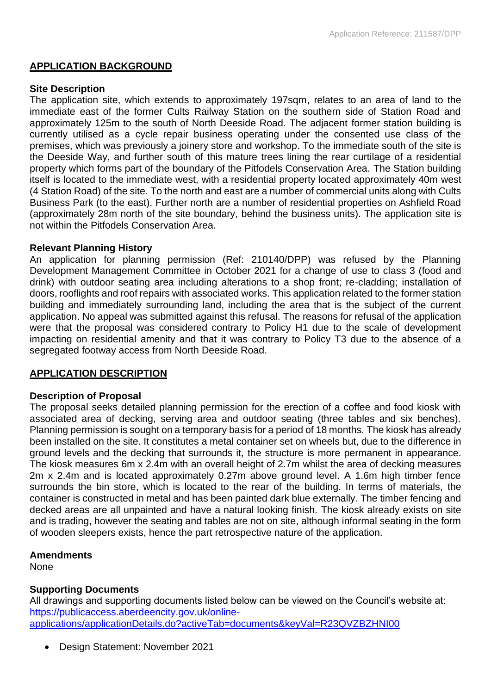# **APPLICATION BACKGROUND**

#### **Site Description**

The application site, which extends to approximately 197sqm, relates to an area of land to the immediate east of the former Cults Railway Station on the southern side of Station Road and approximately 125m to the south of North Deeside Road. The adjacent former station building is currently utilised as a cycle repair business operating under the consented use class of the premises, which was previously a joinery store and workshop. To the immediate south of the site is the Deeside Way, and further south of this mature trees lining the rear curtilage of a residential property which forms part of the boundary of the Pitfodels Conservation Area. The Station building itself is located to the immediate west, with a residential property located approximately 40m west (4 Station Road) of the site. To the north and east are a number of commercial units along with Cults Business Park (to the east). Further north are a number of residential properties on Ashfield Road (approximately 28m north of the site boundary, behind the business units). The application site is not within the Pitfodels Conservation Area.

#### **Relevant Planning History**

An application for planning permission (Ref: 210140/DPP) was refused by the Planning Development Management Committee in October 2021 for a change of use to class 3 (food and drink) with outdoor seating area including alterations to a shop front; re-cladding; installation of doors, rooflights and roof repairs with associated works. This application related to the former station building and immediately surrounding land, including the area that is the subject of the current application. No appeal was submitted against this refusal. The reasons for refusal of the application were that the proposal was considered contrary to Policy H1 due to the scale of development impacting on residential amenity and that it was contrary to Policy T3 due to the absence of a segregated footway access from North Deeside Road.

# **APPLICATION DESCRIPTION**

#### **Description of Proposal**

The proposal seeks detailed planning permission for the erection of a coffee and food kiosk with associated area of decking, serving area and outdoor seating (three tables and six benches). Planning permission is sought on a temporary basis for a period of 18 months. The kiosk has already been installed on the site. It constitutes a metal container set on wheels but, due to the difference in ground levels and the decking that surrounds it, the structure is more permanent in appearance. The kiosk measures 6m x 2.4m with an overall height of 2.7m whilst the area of decking measures 2m x 2.4m and is located approximately 0.27m above ground level. A 1.6m high timber fence surrounds the bin store, which is located to the rear of the building. In terms of materials, the container is constructed in metal and has been painted dark blue externally. The timber fencing and decked areas are all unpainted and have a natural looking finish. The kiosk already exists on site and is trading, however the seating and tables are not on site, although informal seating in the form of wooden sleepers exists, hence the part retrospective nature of the application.

# **Amendments**

**None** 

# **Supporting Documents**

All drawings and supporting documents listed below can be viewed on the Council's website at: [https://publicaccess.aberdeencity.gov.uk/online](https://publicaccess.aberdeencity.gov.uk/online-applications/applicationDetails.do?activeTab=documents&keyVal=R23QVZBZHNI00)[applications/applicationDetails.do?activeTab=documents&keyVal=R23QVZBZHNI00](https://publicaccess.aberdeencity.gov.uk/online-applications/applicationDetails.do?activeTab=documents&keyVal=R23QVZBZHNI00)

• Design Statement: November 2021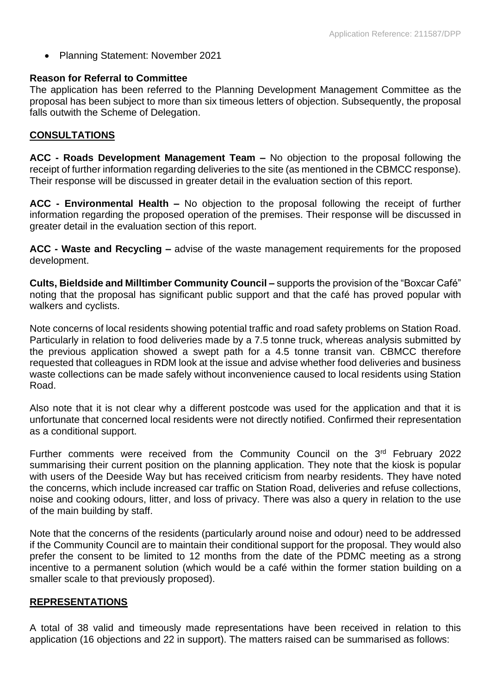• Planning Statement: November 2021

# **Reason for Referral to Committee**

The application has been referred to the Planning Development Management Committee as the proposal has been subject to more than six timeous letters of objection. Subsequently, the proposal falls outwith the Scheme of Delegation.

# **CONSULTATIONS**

**ACC - Roads Development Management Team –** No objection to the proposal following the receipt of further information regarding deliveries to the site (as mentioned in the CBMCC response). Their response will be discussed in greater detail in the evaluation section of this report.

**ACC - Environmental Health –** No objection to the proposal following the receipt of further information regarding the proposed operation of the premises. Their response will be discussed in greater detail in the evaluation section of this report.

**ACC - Waste and Recycling –** advise of the waste management requirements for the proposed development.

**Cults, Bieldside and Milltimber Community Council –** supports the provision of the "Boxcar Café" noting that the proposal has significant public support and that the café has proved popular with walkers and cyclists.

Note concerns of local residents showing potential traffic and road safety problems on Station Road. Particularly in relation to food deliveries made by a 7.5 tonne truck, whereas analysis submitted by the previous application showed a swept path for a 4.5 tonne transit van. CBMCC therefore requested that colleagues in RDM look at the issue and advise whether food deliveries and business waste collections can be made safely without inconvenience caused to local residents using Station Road.

Also note that it is not clear why a different postcode was used for the application and that it is unfortunate that concerned local residents were not directly notified. Confirmed their representation as a conditional support.

Further comments were received from the Community Council on the 3<sup>rd</sup> February 2022 summarising their current position on the planning application. They note that the kiosk is popular with users of the Deeside Way but has received criticism from nearby residents. They have noted the concerns, which include increased car traffic on Station Road, deliveries and refuse collections, noise and cooking odours, litter, and loss of privacy. There was also a query in relation to the use of the main building by staff.

Note that the concerns of the residents (particularly around noise and odour) need to be addressed if the Community Council are to maintain their conditional support for the proposal. They would also prefer the consent to be limited to 12 months from the date of the PDMC meeting as a strong incentive to a permanent solution (which would be a café within the former station building on a smaller scale to that previously proposed).

# **REPRESENTATIONS**

A total of 38 valid and timeously made representations have been received in relation to this application (16 objections and 22 in support). The matters raised can be summarised as follows: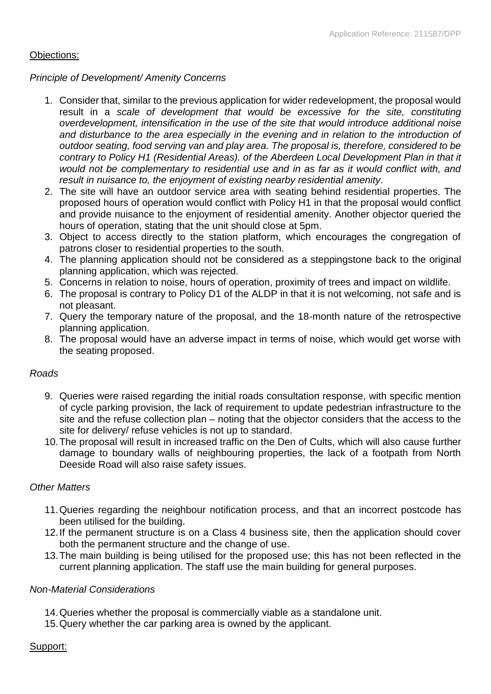# Objections:

# *Principle of Development/ Amenity Concerns*

- 1. Consider that, similar to the previous application for wider redevelopment, the proposal would result in a *scale of development that would be excessive for the site, constituting overdevelopment, intensification in the use of the site that would introduce additional noise and disturbance to the area especially in the evening and in relation to the introduction of outdoor seating, food serving van and play area. The proposal is, therefore, considered to be contrary to Policy H1 (Residential Areas). of the Aberdeen Local Development Plan in that it would not be complementary to residential use and in as far as it would conflict with, and result in nuisance to, the enjoyment of existing nearby residential amenity.*
- 2. The site will have an outdoor service area with seating behind residential properties. The proposed hours of operation would conflict with Policy H1 in that the proposal would conflict and provide nuisance to the enjoyment of residential amenity. Another objector queried the hours of operation, stating that the unit should close at 5pm.
- 3. Object to access directly to the station platform, which encourages the congregation of patrons closer to residential properties to the south.
- 4. The planning application should not be considered as a steppingstone back to the original planning application, which was rejected.
- 5. Concerns in relation to noise, hours of operation, proximity of trees and impact on wildlife.
- 6. The proposal is contrary to Policy D1 of the ALDP in that it is not welcoming, not safe and is not pleasant.
- 7. Query the temporary nature of the proposal, and the 18-month nature of the retrospective planning application.
- 8. The proposal would have an adverse impact in terms of noise, which would get worse with the seating proposed.

# *Roads*

- 9. Queries were raised regarding the initial roads consultation response, with specific mention of cycle parking provision, the lack of requirement to update pedestrian infrastructure to the site and the refuse collection plan – noting that the objector considers that the access to the site for delivery/ refuse vehicles is not up to standard.
- 10.The proposal will result in increased traffic on the Den of Cults, which will also cause further damage to boundary walls of neighbouring properties, the lack of a footpath from North Deeside Road will also raise safety issues.

# *Other Matters*

- 11.Queries regarding the neighbour notification process, and that an incorrect postcode has been utilised for the building.
- 12.If the permanent structure is on a Class 4 business site, then the application should cover both the permanent structure and the change of use.
- 13.The main building is being utilised for the proposed use; this has not been reflected in the current planning application. The staff use the main building for general purposes.

# *Non-Material Considerations*

- 14.Queries whether the proposal is commercially viable as a standalone unit.
- 15.Query whether the car parking area is owned by the applicant.

# Support: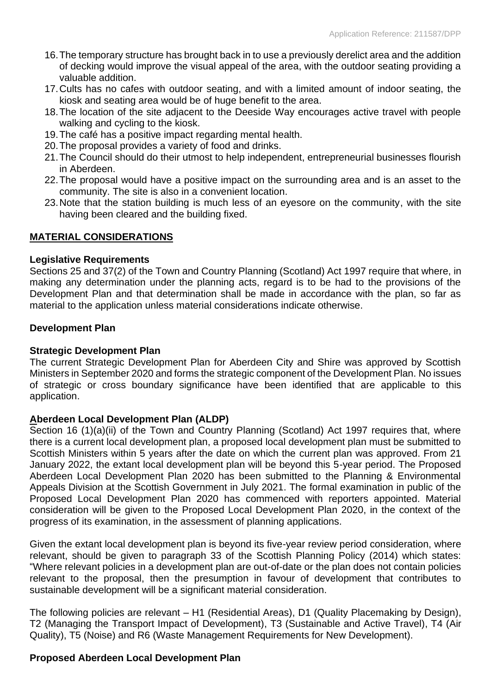- 16.The temporary structure has brought back in to use a previously derelict area and the addition of decking would improve the visual appeal of the area, with the outdoor seating providing a valuable addition.
- 17.Cults has no cafes with outdoor seating, and with a limited amount of indoor seating, the kiosk and seating area would be of huge benefit to the area.
- 18.The location of the site adjacent to the Deeside Way encourages active travel with people walking and cycling to the kiosk.
- 19.The café has a positive impact regarding mental health.
- 20.The proposal provides a variety of food and drinks.
- 21.The Council should do their utmost to help independent, entrepreneurial businesses flourish in Aberdeen.
- 22.The proposal would have a positive impact on the surrounding area and is an asset to the community. The site is also in a convenient location.
- 23.Note that the station building is much less of an eyesore on the community, with the site having been cleared and the building fixed.

#### **MATERIAL CONSIDERATIONS**

#### **Legislative Requirements**

Sections 25 and 37(2) of the Town and Country Planning (Scotland) Act 1997 require that where, in making any determination under the planning acts, regard is to be had to the provisions of the Development Plan and that determination shall be made in accordance with the plan, so far as material to the application unless material considerations indicate otherwise.

#### **Development Plan**

#### **Strategic Development Plan**

The current Strategic Development Plan for Aberdeen City and Shire was approved by Scottish Ministers in September 2020 and forms the strategic component of the Development Plan. No issues of strategic or cross boundary significance have been identified that are applicable to this application.

#### **Aberdeen Local Development Plan (ALDP)**

Section 16 (1)(a)(ii) of the Town and Country Planning (Scotland) Act 1997 requires that, where there is a current local development plan, a proposed local development plan must be submitted to Scottish Ministers within 5 years after the date on which the current plan was approved. From 21 January 2022, the extant local development plan will be beyond this 5-year period. The Proposed Aberdeen Local Development Plan 2020 has been submitted to the Planning & Environmental Appeals Division at the Scottish Government in July 2021. The formal examination in public of the Proposed Local Development Plan 2020 has commenced with reporters appointed. Material consideration will be given to the Proposed Local Development Plan 2020, in the context of the progress of its examination, in the assessment of planning applications.

Given the extant local development plan is beyond its five-year review period consideration, where relevant, should be given to paragraph 33 of the Scottish Planning Policy (2014) which states: "Where relevant policies in a development plan are out-of-date or the plan does not contain policies relevant to the proposal, then the presumption in favour of development that contributes to sustainable development will be a significant material consideration.

The following policies are relevant – H1 (Residential Areas), D1 (Quality Placemaking by Design), T2 (Managing the Transport Impact of Development), T3 (Sustainable and Active Travel), T4 (Air Quality), T5 (Noise) and R6 (Waste Management Requirements for New Development).

# **Proposed Aberdeen Local Development Plan**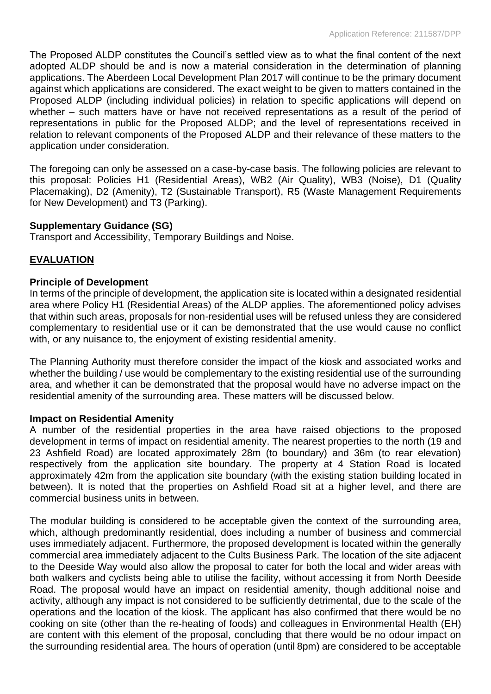The Proposed ALDP constitutes the Council's settled view as to what the final content of the next adopted ALDP should be and is now a material consideration in the determination of planning applications. The Aberdeen Local Development Plan 2017 will continue to be the primary document against which applications are considered. The exact weight to be given to matters contained in the Proposed ALDP (including individual policies) in relation to specific applications will depend on whether – such matters have or have not received representations as a result of the period of representations in public for the Proposed ALDP; and the level of representations received in relation to relevant components of the Proposed ALDP and their relevance of these matters to the application under consideration.

The foregoing can only be assessed on a case-by-case basis. The following policies are relevant to this proposal: Policies H1 (Residential Areas), WB2 (Air Quality), WB3 (Noise), D1 (Quality Placemaking), D2 (Amenity), T2 (Sustainable Transport), R5 (Waste Management Requirements for New Development) and T3 (Parking).

# **Supplementary Guidance (SG)**

Transport and Accessibility, Temporary Buildings and Noise.

# **EVALUATION**

# **Principle of Development**

In terms of the principle of development, the application site is located within a designated residential area where Policy H1 (Residential Areas) of the ALDP applies. The aforementioned policy advises that within such areas, proposals for non-residential uses will be refused unless they are considered complementary to residential use or it can be demonstrated that the use would cause no conflict with, or any nuisance to, the enjoyment of existing residential amenity.

The Planning Authority must therefore consider the impact of the kiosk and associated works and whether the building / use would be complementary to the existing residential use of the surrounding area, and whether it can be demonstrated that the proposal would have no adverse impact on the residential amenity of the surrounding area. These matters will be discussed below.

# **Impact on Residential Amenity**

A number of the residential properties in the area have raised objections to the proposed development in terms of impact on residential amenity. The nearest properties to the north (19 and 23 Ashfield Road) are located approximately 28m (to boundary) and 36m (to rear elevation) respectively from the application site boundary. The property at 4 Station Road is located approximately 42m from the application site boundary (with the existing station building located in between). It is noted that the properties on Ashfield Road sit at a higher level, and there are commercial business units in between.

The modular building is considered to be acceptable given the context of the surrounding area, which, although predominantly residential, does including a number of business and commercial uses immediately adjacent. Furthermore, the proposed development is located within the generally commercial area immediately adjacent to the Cults Business Park. The location of the site adjacent to the Deeside Way would also allow the proposal to cater for both the local and wider areas with both walkers and cyclists being able to utilise the facility, without accessing it from North Deeside Road. The proposal would have an impact on residential amenity, though additional noise and activity, although any impact is not considered to be sufficiently detrimental, due to the scale of the operations and the location of the kiosk. The applicant has also confirmed that there would be no cooking on site (other than the re-heating of foods) and colleagues in Environmental Health (EH) are content with this element of the proposal, concluding that there would be no odour impact on the surrounding residential area. The hours of operation (until 8pm) are considered to be acceptable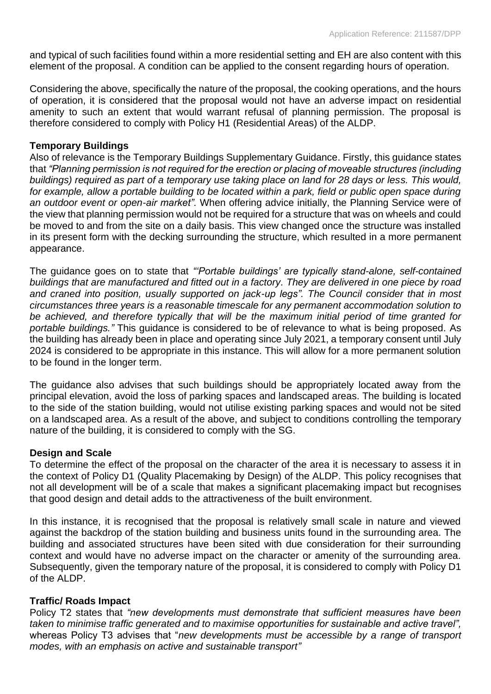and typical of such facilities found within a more residential setting and EH are also content with this element of the proposal. A condition can be applied to the consent regarding hours of operation.

Considering the above, specifically the nature of the proposal, the cooking operations, and the hours of operation, it is considered that the proposal would not have an adverse impact on residential amenity to such an extent that would warrant refusal of planning permission. The proposal is therefore considered to comply with Policy H1 (Residential Areas) of the ALDP.

# **Temporary Buildings**

Also of relevance is the Temporary Buildings Supplementary Guidance. Firstly, this guidance states that *"Planning permission is not required for the erection or placing of moveable structures (including buildings) required as part of a temporary use taking place on land for 28 days or less. This would, for example, allow a portable building to be located within a park, field or public open space during an outdoor event or open-air market".* When offering advice initially, the Planning Service were of the view that planning permission would not be required for a structure that was on wheels and could be moved to and from the site on a daily basis. This view changed once the structure was installed in its present form with the decking surrounding the structure, which resulted in a more permanent appearance.

The guidance goes on to state that *"'Portable buildings' are typically stand-alone, self-contained buildings that are manufactured and fitted out in a factory. They are delivered in one piece by road and craned into position, usually supported on jack-up legs". The Council consider that in most circumstances three years is a reasonable timescale for any permanent accommodation solution to be achieved, and therefore typically that will be the maximum initial period of time granted for portable buildings."* This guidance is considered to be of relevance to what is being proposed. As the building has already been in place and operating since July 2021, a temporary consent until July 2024 is considered to be appropriate in this instance. This will allow for a more permanent solution to be found in the longer term.

The guidance also advises that such buildings should be appropriately located away from the principal elevation, avoid the loss of parking spaces and landscaped areas. The building is located to the side of the station building, would not utilise existing parking spaces and would not be sited on a landscaped area. As a result of the above, and subject to conditions controlling the temporary nature of the building, it is considered to comply with the SG.

#### **Design and Scale**

To determine the effect of the proposal on the character of the area it is necessary to assess it in the context of Policy D1 (Quality Placemaking by Design) of the ALDP. This policy recognises that not all development will be of a scale that makes a significant placemaking impact but recognises that good design and detail adds to the attractiveness of the built environment.

In this instance, it is recognised that the proposal is relatively small scale in nature and viewed against the backdrop of the station building and business units found in the surrounding area. The building and associated structures have been sited with due consideration for their surrounding context and would have no adverse impact on the character or amenity of the surrounding area. Subsequently, given the temporary nature of the proposal, it is considered to comply with Policy D1 of the ALDP.

#### **Traffic/ Roads Impact**

Policy T2 states that *"new developments must demonstrate that sufficient measures have been taken to minimise traffic generated and to maximise opportunities for sustainable and active travel",*  whereas Policy T3 advises that "*new developments must be accessible by a range of transport modes, with an emphasis on active and sustainable transport"*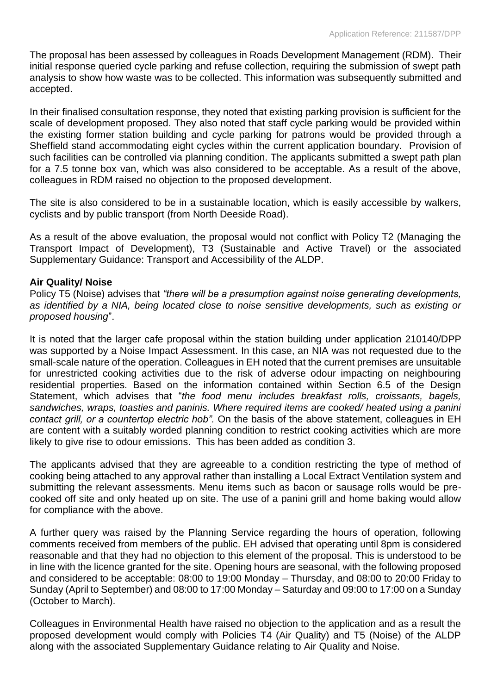The proposal has been assessed by colleagues in Roads Development Management (RDM). Their initial response queried cycle parking and refuse collection, requiring the submission of swept path analysis to show how waste was to be collected. This information was subsequently submitted and accepted.

In their finalised consultation response, they noted that existing parking provision is sufficient for the scale of development proposed. They also noted that staff cycle parking would be provided within the existing former station building and cycle parking for patrons would be provided through a Sheffield stand accommodating eight cycles within the current application boundary. Provision of such facilities can be controlled via planning condition. The applicants submitted a swept path plan for a 7.5 tonne box van, which was also considered to be acceptable. As a result of the above, colleagues in RDM raised no objection to the proposed development.

The site is also considered to be in a sustainable location, which is easily accessible by walkers, cyclists and by public transport (from North Deeside Road).

As a result of the above evaluation, the proposal would not conflict with Policy T2 (Managing the Transport Impact of Development), T3 (Sustainable and Active Travel) or the associated Supplementary Guidance: Transport and Accessibility of the ALDP.

# **Air Quality/ Noise**

Policy T5 (Noise) advises that *"there will be a presumption against noise generating developments, as identified by a NIA, being located close to noise sensitive developments, such as existing or proposed housing*".

It is noted that the larger cafe proposal within the station building under application 210140/DPP was supported by a Noise Impact Assessment. In this case, an NIA was not requested due to the small-scale nature of the operation. Colleagues in EH noted that the current premises are unsuitable for unrestricted cooking activities due to the risk of adverse odour impacting on neighbouring residential properties. Based on the information contained within Section 6.5 of the Design Statement, which advises that "*the food menu includes breakfast rolls, croissants, bagels, sandwiches, wraps, toasties and paninis. Where required items are cooked/ heated using a panini contact grill, or a countertop electric hob".* On the basis of the above statement, colleagues in EH are content with a suitably worded planning condition to restrict cooking activities which are more likely to give rise to odour emissions. This has been added as condition 3.

The applicants advised that they are agreeable to a condition restricting the type of method of cooking being attached to any approval rather than installing a Local Extract Ventilation system and submitting the relevant assessments. Menu items such as bacon or sausage rolls would be precooked off site and only heated up on site. The use of a panini grill and home baking would allow for compliance with the above.

A further query was raised by the Planning Service regarding the hours of operation, following comments received from members of the public. EH advised that operating until 8pm is considered reasonable and that they had no objection to this element of the proposal. This is understood to be in line with the licence granted for the site. Opening hours are seasonal, with the following proposed and considered to be acceptable: 08:00 to 19:00 Monday – Thursday, and 08:00 to 20:00 Friday to Sunday (April to September) and 08:00 to 17:00 Monday – Saturday and 09:00 to 17:00 on a Sunday (October to March).

Colleagues in Environmental Health have raised no objection to the application and as a result the proposed development would comply with Policies T4 (Air Quality) and T5 (Noise) of the ALDP along with the associated Supplementary Guidance relating to Air Quality and Noise.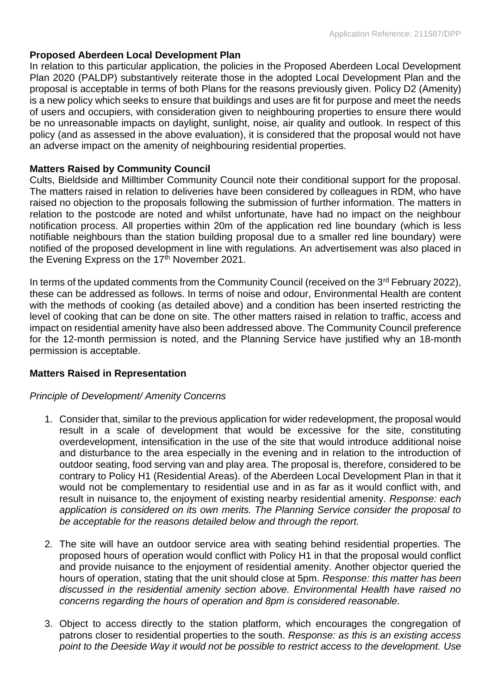# **Proposed Aberdeen Local Development Plan**

In relation to this particular application, the policies in the Proposed Aberdeen Local Development Plan 2020 (PALDP) substantively reiterate those in the adopted Local Development Plan and the proposal is acceptable in terms of both Plans for the reasons previously given. Policy D2 (Amenity) is a new policy which seeks to ensure that buildings and uses are fit for purpose and meet the needs of users and occupiers, with consideration given to neighbouring properties to ensure there would be no unreasonable impacts on daylight, sunlight, noise, air quality and outlook. In respect of this policy (and as assessed in the above evaluation), it is considered that the proposal would not have an adverse impact on the amenity of neighbouring residential properties.

# **Matters Raised by Community Council**

Cults, Bieldside and Milltimber Community Council note their conditional support for the proposal. The matters raised in relation to deliveries have been considered by colleagues in RDM, who have raised no objection to the proposals following the submission of further information. The matters in relation to the postcode are noted and whilst unfortunate, have had no impact on the neighbour notification process. All properties within 20m of the application red line boundary (which is less notifiable neighbours than the station building proposal due to a smaller red line boundary) were notified of the proposed development in line with regulations. An advertisement was also placed in the Evening Express on the 17<sup>th</sup> November 2021.

In terms of the updated comments from the Community Council (received on the 3<sup>rd</sup> February 2022), these can be addressed as follows. In terms of noise and odour, Environmental Health are content with the methods of cooking (as detailed above) and a condition has been inserted restricting the level of cooking that can be done on site. The other matters raised in relation to traffic, access and impact on residential amenity have also been addressed above. The Community Council preference for the 12-month permission is noted, and the Planning Service have justified why an 18-month permission is acceptable.

#### **Matters Raised in Representation**

#### *Principle of Development/ Amenity Concerns*

- 1. Consider that, similar to the previous application for wider redevelopment, the proposal would result in a scale of development that would be excessive for the site, constituting overdevelopment, intensification in the use of the site that would introduce additional noise and disturbance to the area especially in the evening and in relation to the introduction of outdoor seating, food serving van and play area. The proposal is, therefore, considered to be contrary to Policy H1 (Residential Areas). of the Aberdeen Local Development Plan in that it would not be complementary to residential use and in as far as it would conflict with, and result in nuisance to, the enjoyment of existing nearby residential amenity. *Response: each application is considered on its own merits. The Planning Service consider the proposal to be acceptable for the reasons detailed below and through the report.*
- 2. The site will have an outdoor service area with seating behind residential properties. The proposed hours of operation would conflict with Policy H1 in that the proposal would conflict and provide nuisance to the enjoyment of residential amenity. Another objector queried the hours of operation, stating that the unit should close at 5pm. *Response: this matter has been discussed in the residential amenity section above. Environmental Health have raised no concerns regarding the hours of operation and 8pm is considered reasonable.*
- 3. Object to access directly to the station platform, which encourages the congregation of patrons closer to residential properties to the south. *Response: as this is an existing access point to the Deeside Way it would not be possible to restrict access to the development. Use*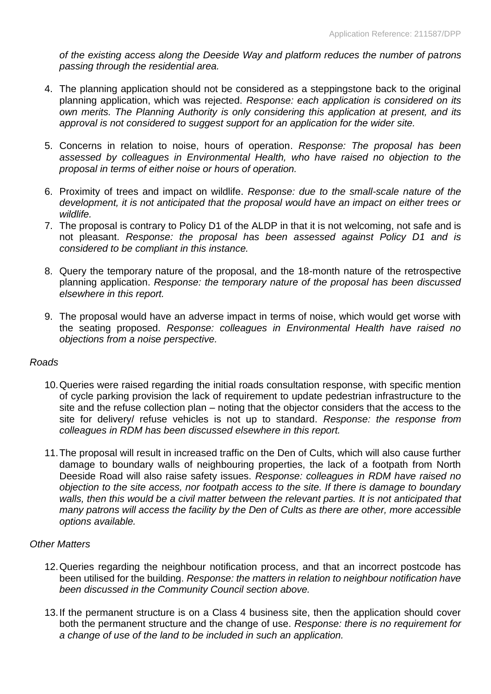*of the existing access along the Deeside Way and platform reduces the number of patrons passing through the residential area.*

- 4. The planning application should not be considered as a steppingstone back to the original planning application, which was rejected. *Response: each application is considered on its own merits. The Planning Authority is only considering this application at present, and its approval is not considered to suggest support for an application for the wider site.*
- 5. Concerns in relation to noise, hours of operation. *Response: The proposal has been assessed by colleagues in Environmental Health, who have raised no objection to the proposal in terms of either noise or hours of operation.*
- 6. Proximity of trees and impact on wildlife. *Response: due to the small-scale nature of the development, it is not anticipated that the proposal would have an impact on either trees or wildlife.*
- 7. The proposal is contrary to Policy D1 of the ALDP in that it is not welcoming, not safe and is not pleasant. *Response: the proposal has been assessed against Policy D1 and is considered to be compliant in this instance.*
- 8. Query the temporary nature of the proposal, and the 18-month nature of the retrospective planning application. *Response: the temporary nature of the proposal has been discussed elsewhere in this report.*
- 9. The proposal would have an adverse impact in terms of noise, which would get worse with the seating proposed. *Response: colleagues in Environmental Health have raised no objections from a noise perspective.*

# *Roads*

- 10.Queries were raised regarding the initial roads consultation response, with specific mention of cycle parking provision the lack of requirement to update pedestrian infrastructure to the site and the refuse collection plan – noting that the objector considers that the access to the site for delivery/ refuse vehicles is not up to standard. *Response: the response from colleagues in RDM has been discussed elsewhere in this report.*
- 11.The proposal will result in increased traffic on the Den of Cults, which will also cause further damage to boundary walls of neighbouring properties, the lack of a footpath from North Deeside Road will also raise safety issues. *Response: colleagues in RDM have raised no objection to the site access, nor footpath access to the site. If there is damage to boundary*  walls, then this would be a civil matter between the relevant parties. It is not anticipated that *many patrons will access the facility by the Den of Cults as there are other, more accessible options available.*

# *Other Matters*

- 12.Queries regarding the neighbour notification process, and that an incorrect postcode has been utilised for the building. *Response: the matters in relation to neighbour notification have been discussed in the Community Council section above.*
- 13.If the permanent structure is on a Class 4 business site, then the application should cover both the permanent structure and the change of use. *Response: there is no requirement for a change of use of the land to be included in such an application.*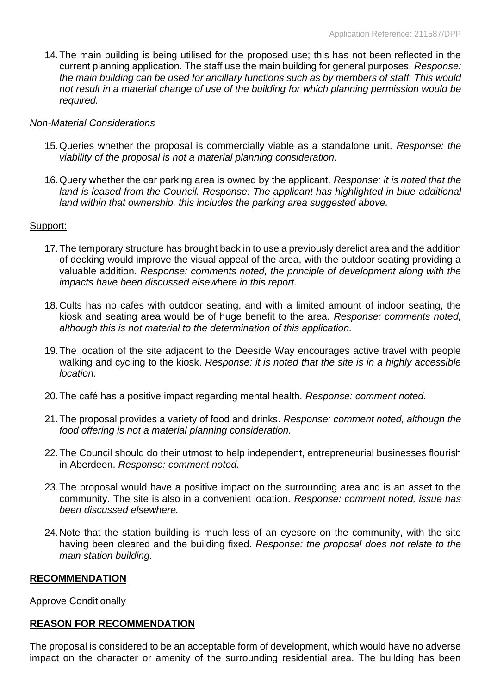14.The main building is being utilised for the proposed use; this has not been reflected in the current planning application. The staff use the main building for general purposes. *Response: the main building can be used for ancillary functions such as by members of staff. This would not result in a material change of use of the building for which planning permission would be required.* 

#### *Non-Material Considerations*

- 15.Queries whether the proposal is commercially viable as a standalone unit. *Response: the viability of the proposal is not a material planning consideration.*
- 16.Query whether the car parking area is owned by the applicant. *Response: it is noted that the*  land is leased from the Council. Response: The applicant has highlighted in blue additional *land within that ownership, this includes the parking area suggested above.*

# Support:

- 17.The temporary structure has brought back in to use a previously derelict area and the addition of decking would improve the visual appeal of the area, with the outdoor seating providing a valuable addition. *Response: comments noted, the principle of development along with the impacts have been discussed elsewhere in this report.*
- 18.Cults has no cafes with outdoor seating, and with a limited amount of indoor seating, the kiosk and seating area would be of huge benefit to the area. *Response: comments noted, although this is not material to the determination of this application.*
- 19.The location of the site adjacent to the Deeside Way encourages active travel with people walking and cycling to the kiosk. *Response: it is noted that the site is in a highly accessible location.*
- 20.The café has a positive impact regarding mental health. *Response: comment noted.*
- 21.The proposal provides a variety of food and drinks. *Response: comment noted, although the food offering is not a material planning consideration.*
- 22.The Council should do their utmost to help independent, entrepreneurial businesses flourish in Aberdeen. *Response: comment noted.*
- 23.The proposal would have a positive impact on the surrounding area and is an asset to the community. The site is also in a convenient location. *Response: comment noted, issue has been discussed elsewhere.*
- 24.Note that the station building is much less of an eyesore on the community, with the site having been cleared and the building fixed. *Response: the proposal does not relate to the main station building.*

# **RECOMMENDATION**

Approve Conditionally

# **REASON FOR RECOMMENDATION**

The proposal is considered to be an acceptable form of development, which would have no adverse impact on the character or amenity of the surrounding residential area. The building has been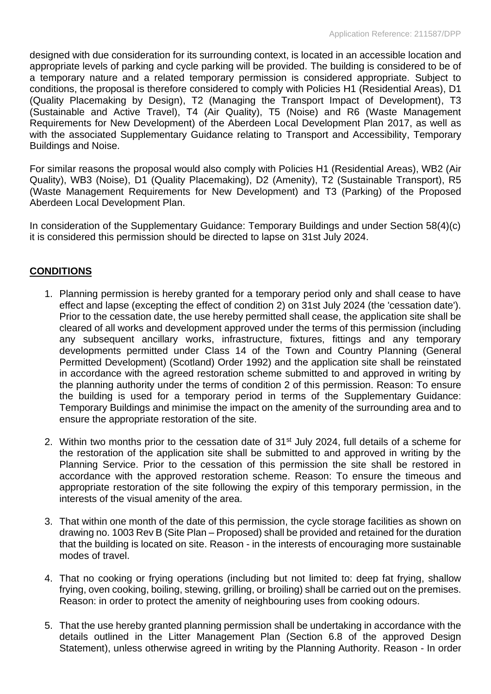designed with due consideration for its surrounding context, is located in an accessible location and appropriate levels of parking and cycle parking will be provided. The building is considered to be of a temporary nature and a related temporary permission is considered appropriate. Subject to conditions, the proposal is therefore considered to comply with Policies H1 (Residential Areas), D1 (Quality Placemaking by Design), T2 (Managing the Transport Impact of Development), T3 (Sustainable and Active Travel), T4 (Air Quality), T5 (Noise) and R6 (Waste Management Requirements for New Development) of the Aberdeen Local Development Plan 2017, as well as with the associated Supplementary Guidance relating to Transport and Accessibility. Temporary Buildings and Noise.

For similar reasons the proposal would also comply with Policies H1 (Residential Areas), WB2 (Air Quality), WB3 (Noise), D1 (Quality Placemaking), D2 (Amenity), T2 (Sustainable Transport), R5 (Waste Management Requirements for New Development) and T3 (Parking) of the Proposed Aberdeen Local Development Plan.

In consideration of the Supplementary Guidance: Temporary Buildings and under Section 58(4)(c) it is considered this permission should be directed to lapse on 31st July 2024.

# **CONDITIONS**

- 1. Planning permission is hereby granted for a temporary period only and shall cease to have effect and lapse (excepting the effect of condition 2) on 31st July 2024 (the 'cessation date'). Prior to the cessation date, the use hereby permitted shall cease, the application site shall be cleared of all works and development approved under the terms of this permission (including any subsequent ancillary works, infrastructure, fixtures, fittings and any temporary developments permitted under Class 14 of the Town and Country Planning (General Permitted Development) (Scotland) Order 1992) and the application site shall be reinstated in accordance with the agreed restoration scheme submitted to and approved in writing by the planning authority under the terms of condition 2 of this permission. Reason: To ensure the building is used for a temporary period in terms of the Supplementary Guidance: Temporary Buildings and minimise the impact on the amenity of the surrounding area and to ensure the appropriate restoration of the site.
- 2. Within two months prior to the cessation date of 31<sup>st</sup> July 2024, full details of a scheme for the restoration of the application site shall be submitted to and approved in writing by the Planning Service. Prior to the cessation of this permission the site shall be restored in accordance with the approved restoration scheme. Reason: To ensure the timeous and appropriate restoration of the site following the expiry of this temporary permission, in the interests of the visual amenity of the area.
- 3. That within one month of the date of this permission, the cycle storage facilities as shown on drawing no. 1003 Rev B (Site Plan – Proposed) shall be provided and retained for the duration that the building is located on site. Reason - in the interests of encouraging more sustainable modes of travel.
- 4. That no cooking or frying operations (including but not limited to: deep fat frying, shallow frying, oven cooking, boiling, stewing, grilling, or broiling) shall be carried out on the premises. Reason: in order to protect the amenity of neighbouring uses from cooking odours.
- 5. That the use hereby granted planning permission shall be undertaking in accordance with the details outlined in the Litter Management Plan (Section 6.8 of the approved Design Statement), unless otherwise agreed in writing by the Planning Authority. Reason - In order